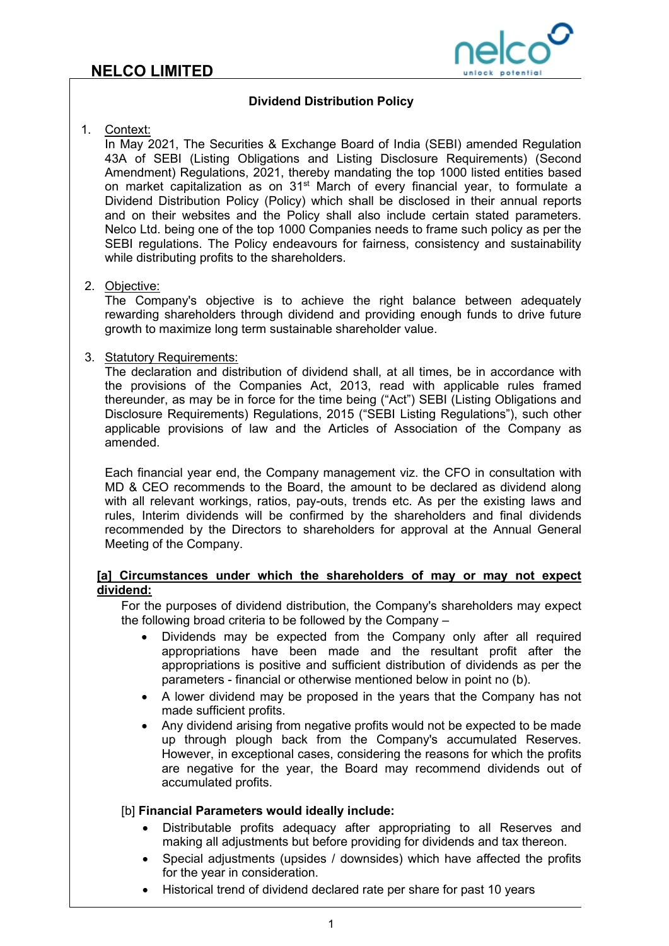

## **Dividend Distribution Policy**

### 1. Context:

In May 2021, The Securities & Exchange Board of India (SEBI) amended Regulation 43A of SEBI (Listing Obligations and Listing Disclosure Requirements) (Second Amendment) Regulations, 2021, thereby mandating the top 1000 listed entities based on market capitalization as on 31<sup>st</sup> March of every financial year, to formulate a Dividend Distribution Policy (Policy) which shall be disclosed in their annual reports and on their websites and the Policy shall also include certain stated parameters. Nelco Ltd. being one of the top 1000 Companies needs to frame such policy as per the SEBI regulations. The Policy endeavours for fairness, consistency and sustainability while distributing profits to the shareholders.

### 2. Objective:

The Company's objective is to achieve the right balance between adequately rewarding shareholders through dividend and providing enough funds to drive future growth to maximize long term sustainable shareholder value.

### 3. Statutory Requirements:

The declaration and distribution of dividend shall, at all times, be in accordance with the provisions of the Companies Act, 2013, read with applicable rules framed thereunder, as may be in force for the time being ("Act") SEBI (Listing Obligations and Disclosure Requirements) Regulations, 2015 ("SEBI Listing Regulations"), such other applicable provisions of law and the Articles of Association of the Company as amended.

Each financial year end, the Company management viz. the CFO in consultation with MD & CEO recommends to the Board, the amount to be declared as dividend along with all relevant workings, ratios, pay-outs, trends etc. As per the existing laws and rules, Interim dividends will be confirmed by the shareholders and final dividends recommended by the Directors to shareholders for approval at the Annual General Meeting of the Company.

### **[a] Circumstances under which the shareholders of may or may not expect dividend:**

For the purposes of dividend distribution, the Company's shareholders may expect the following broad criteria to be followed by the Company –

- Dividends may be expected from the Company only after all required appropriations have been made and the resultant profit after the appropriations is positive and sufficient distribution of dividends as per the parameters - financial or otherwise mentioned below in point no (b).
- A lower dividend may be proposed in the years that the Company has not made sufficient profits.
- Any dividend arising from negative profits would not be expected to be made up through plough back from the Company's accumulated Reserves. However, in exceptional cases, considering the reasons for which the profits are negative for the year, the Board may recommend dividends out of accumulated profits.

# [b] **Financial Parameters would ideally include:**

- Distributable profits adequacy after appropriating to all Reserves and making all adjustments but before providing for dividends and tax thereon.
- Special adjustments (upsides / downsides) which have affected the profits for the year in consideration.
- Historical trend of dividend declared rate per share for past 10 years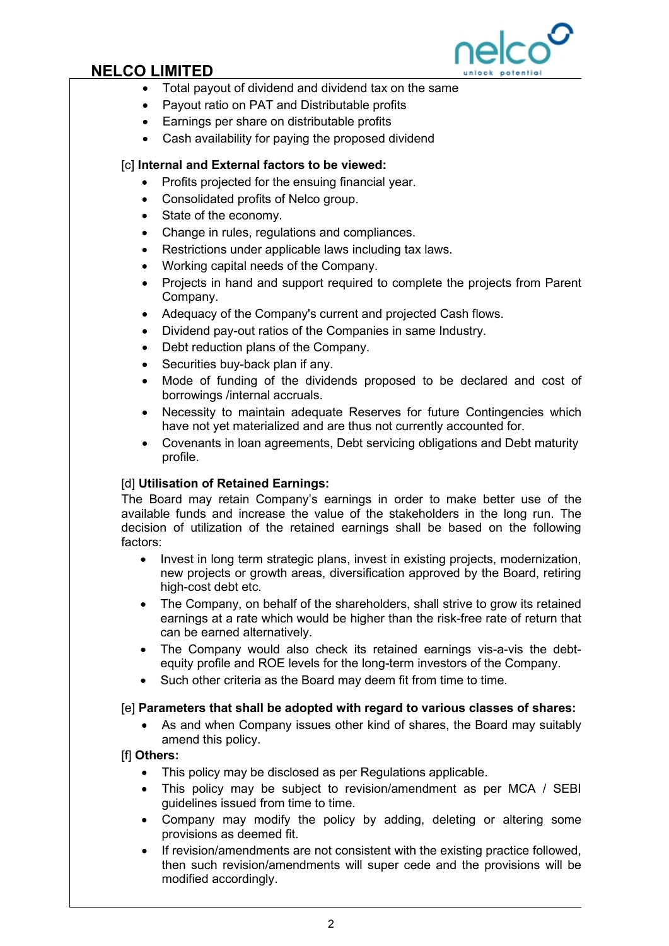

# **NELCO LIMITED**

- Total payout of dividend and dividend tax on the same
- Payout ratio on PAT and Distributable profits
- Earnings per share on distributable profits
- Cash availability for paying the proposed dividend

# [c] **Internal and External factors to be viewed:**

- Profits projected for the ensuing financial year.
- Consolidated profits of Nelco group.
- State of the economy.
- Change in rules, regulations and compliances.
- Restrictions under applicable laws including tax laws.
- Working capital needs of the Company.
- Projects in hand and support required to complete the projects from Parent Company.
- Adequacy of the Company's current and projected Cash flows.
- Dividend pay-out ratios of the Companies in same Industry.
- Debt reduction plans of the Company.
- Securities buy-back plan if any.
- Mode of funding of the dividends proposed to be declared and cost of borrowings /internal accruals.
- Necessity to maintain adequate Reserves for future Contingencies which have not yet materialized and are thus not currently accounted for.
- Covenants in loan agreements, Debt servicing obligations and Debt maturity profile.

# [d] **Utilisation of Retained Earnings:**

The Board may retain Company's earnings in order to make better use of the available funds and increase the value of the stakeholders in the long run. The decision of utilization of the retained earnings shall be based on the following factors:

- Invest in long term strategic plans, invest in existing projects, modernization, new projects or growth areas, diversification approved by the Board, retiring high-cost debt etc.
- The Company, on behalf of the shareholders, shall strive to grow its retained earnings at a rate which would be higher than the risk-free rate of return that can be earned alternatively.
- The Company would also check its retained earnings vis-a-vis the debtequity profile and ROE levels for the long-term investors of the Company.
- Such other criteria as the Board may deem fit from time to time.

# [e] **Parameters that shall be adopted with regard to various classes of shares:**

• As and when Company issues other kind of shares, the Board may suitably amend this policy.

# [f] **Others:**

- This policy may be disclosed as per Regulations applicable.
- This policy may be subject to revision/amendment as per MCA / SEBI guidelines issued from time to time.
- Company may modify the policy by adding, deleting or altering some provisions as deemed fit.
- If revision/amendments are not consistent with the existing practice followed, then such revision/amendments will super cede and the provisions will be modified accordingly.